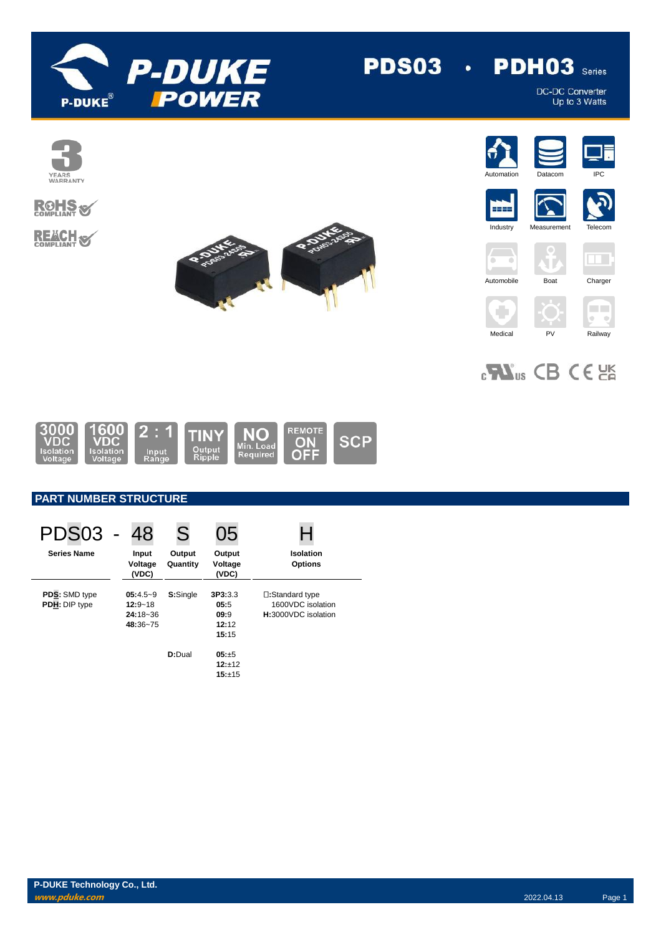

## **PDH03** Series **PDS03 ·**

DC-DC Converter<br>Up to 3 Watts























# $_{c}$ Vas CB CE



# **PART NUMBER STRUCTURE**

| PDS <sub>03</sub>              | 48                                                | S                  | 05                                        |                                                             |
|--------------------------------|---------------------------------------------------|--------------------|-------------------------------------------|-------------------------------------------------------------|
| <b>Series Name</b>             | Input<br>Voltage<br>(VDC)                         | Output<br>Quantity | Output<br>Voltage<br>(VDC)                | Isolation<br><b>Options</b>                                 |
| PDS: SMD type<br>PDH: DIP type | $05:4.5-9$<br>$12:9 - 18$<br>24:18~36<br>48:36~75 | S:Single           | 3P3:3.3<br>05:5<br>09:9<br>12:12<br>15:15 | □:Standard type<br>1600VDC isolation<br>H:3000VDC isolation |
|                                |                                                   | D:Dual             | $05: +5$<br>$12:+12$<br>15:±15            |                                                             |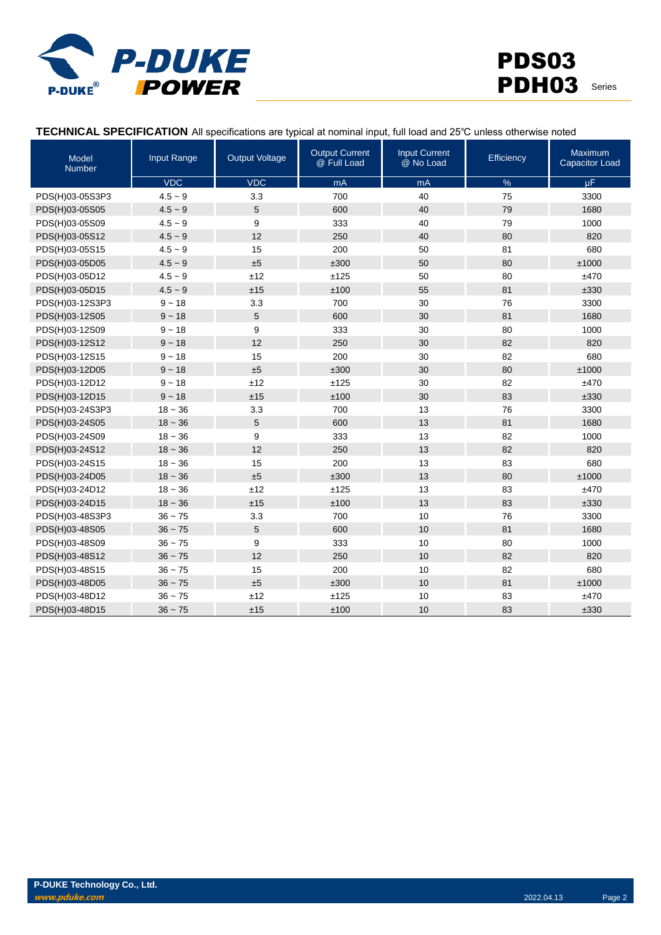

## **TECHNICAL SPECIFICATION** All specifications are typical at nominal input, full load and 25℃ unless otherwise noted

| <b>Model</b><br><b>Number</b> | Input Range | <b>Output Voltage</b> | <b>Output Current</b><br>@ Full Load | <b>Input Current</b><br>@ No Load | Efficiency | <b>Maximum</b><br><b>Capacitor Load</b> |
|-------------------------------|-------------|-----------------------|--------------------------------------|-----------------------------------|------------|-----------------------------------------|
|                               | <b>VDC</b>  | VDC                   | mA                                   | mA                                | $\%$       | $\mu$ F                                 |
| PDS(H)03-05S3P3               | $4.5 - 9$   | 3.3                   | 700                                  | 40                                | 75         | 3300                                    |
| PDS(H)03-05S05                | $4.5 - 9$   | 5                     | 600                                  | 40                                | 79         | 1680                                    |
| PDS(H)03-05S09                | $4.5 - 9$   | 9                     | 333                                  | 40                                | 79         | 1000                                    |
| PDS(H)03-05S12                | $4.5 - 9$   | 12                    | 250                                  | 40                                | 80         | 820                                     |
| PDS(H)03-05S15                | $4.5 - 9$   | 15                    | 200                                  | 50                                | 81         | 680                                     |
| PDS(H)03-05D05                | $4.5 - 9$   | ±5                    | ±300                                 | 50                                | 80         | ±1000                                   |
| PDS(H)03-05D12                | $4.5 - 9$   | ±12                   | ±125                                 | 50                                | 80         | ±470                                    |
| PDS(H)03-05D15                | $4.5 - 9$   | ±15                   | ±100                                 | 55                                | 81         | ±330                                    |
| PDS(H)03-12S3P3               | $9 - 18$    | 3.3                   | 700                                  | 30                                | 76         | 3300                                    |
| PDS(H)03-12S05                | $9 - 18$    | 5                     | 600                                  | 30                                | 81         | 1680                                    |
| PDS(H)03-12S09                | $9 - 18$    | 9                     | 333                                  | 30                                | 80         | 1000                                    |
| PDS(H)03-12S12                | $9 - 18$    | 12                    | 250                                  | 30                                | 82         | 820                                     |
| PDS(H)03-12S15                | $9 - 18$    | 15                    | 200                                  | 30                                | 82         | 680                                     |
| PDS(H)03-12D05                | $9 - 18$    | ±5                    | ±300                                 | 30                                | 80         | ±1000                                   |
| PDS(H)03-12D12                | $9 - 18$    | ±12                   | ±125                                 | 30                                | 82         | ±470                                    |
| PDS(H)03-12D15                | $9 - 18$    | ±15                   | ±100                                 | 30                                | 83         | ±330                                    |
| PDS(H)03-24S3P3               | $18 - 36$   | 3.3                   | 700                                  | 13                                | 76         | 3300                                    |
| PDS(H)03-24S05                | $18 - 36$   | 5                     | 600                                  | 13                                | 81         | 1680                                    |
| PDS(H)03-24S09                | $18 - 36$   | 9                     | 333                                  | 13                                | 82         | 1000                                    |
| PDS(H)03-24S12                | $18 - 36$   | 12                    | 250                                  | 13                                | 82         | 820                                     |
| PDS(H)03-24S15                | $18 - 36$   | 15                    | 200                                  | 13                                | 83         | 680                                     |
| PDS(H)03-24D05                | $18 - 36$   | ±5                    | ±300                                 | 13                                | 80         | ±1000                                   |
| PDS(H)03-24D12                | $18 - 36$   | ±12                   | ±125                                 | 13                                | 83         | ±470                                    |
| PDS(H)03-24D15                | $18 - 36$   | ±15                   | ±100                                 | 13                                | 83         | ±330                                    |
| PDS(H)03-48S3P3               | $36 - 75$   | 3.3                   | 700                                  | 10                                | 76         | 3300                                    |
| PDS(H)03-48S05                | $36 - 75$   | 5                     | 600                                  | 10                                | 81         | 1680                                    |
| PDS(H)03-48S09                | $36 - 75$   | 9                     | 333                                  | 10                                | 80         | 1000                                    |
| PDS(H)03-48S12                | $36 - 75$   | 12                    | 250                                  | 10                                | 82         | 820                                     |
| PDS(H)03-48S15                | $36 - 75$   | 15                    | 200                                  | 10                                | 82         | 680                                     |
| PDS(H)03-48D05                | $36 - 75$   | ±5                    | ±300                                 | 10                                | 81         | ±1000                                   |
| PDS(H)03-48D12                | $36 - 75$   | ±12                   | ±125                                 | 10                                | 83         | ±470                                    |
| PDS(H)03-48D15                | $36 - 75$   | ±15                   | ±100                                 | 10                                | 83         | ±330                                    |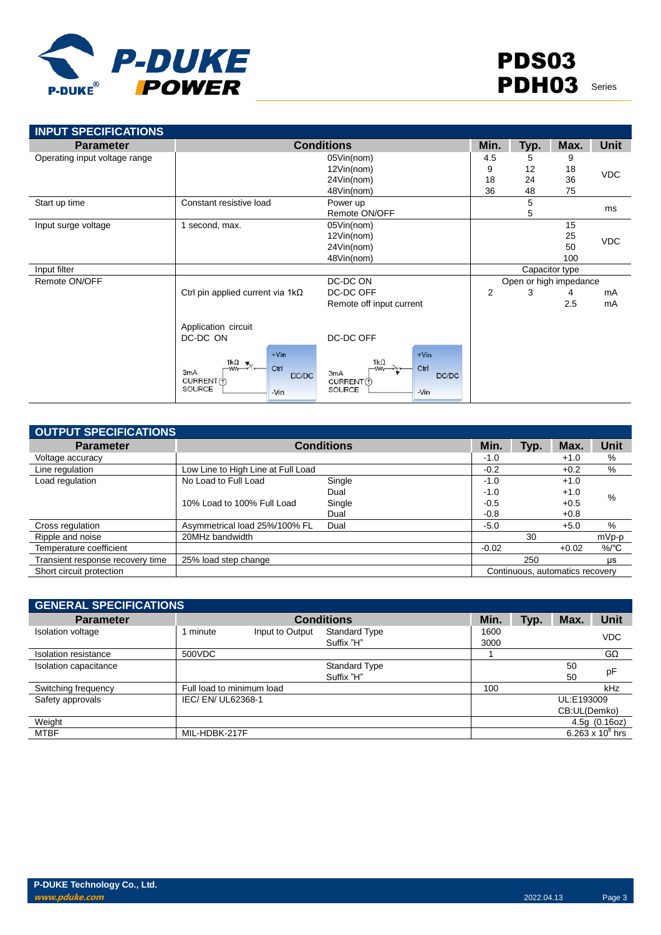

| <b>INPUT SPECIFICATIONS</b>   |                                                                                                           |                                                                                         |                |           |                        |             |
|-------------------------------|-----------------------------------------------------------------------------------------------------------|-----------------------------------------------------------------------------------------|----------------|-----------|------------------------|-------------|
| <b>Parameter</b>              |                                                                                                           | <b>Conditions</b>                                                                       |                |           | Max.                   | <b>Unit</b> |
| Operating input voltage range |                                                                                                           | 05Vin(nom)                                                                              | 4.5            | Typ.<br>5 | 9                      |             |
|                               |                                                                                                           | 12Vin(nom)                                                                              | 9              | 12        | 18                     | <b>VDC</b>  |
|                               |                                                                                                           | 24Vin(nom)                                                                              | 18             | 24        | 36                     |             |
|                               |                                                                                                           | 48Vin(nom)                                                                              | 36             | 48        | 75                     |             |
| Start up time                 | Constant resistive load                                                                                   | Power up                                                                                |                | 5         |                        | ms          |
|                               |                                                                                                           | Remote ON/OFF                                                                           |                | 5         |                        |             |
| Input surge voltage           | 1 second, max.                                                                                            | 05Vin(nom)                                                                              |                |           | 15                     |             |
|                               |                                                                                                           | 12Vin(nom)                                                                              |                |           | 25                     | <b>VDC</b>  |
|                               |                                                                                                           | 24Vin(nom)                                                                              |                |           | 50                     |             |
|                               |                                                                                                           | 48Vin(nom)                                                                              |                |           | 100                    |             |
| Input filter                  |                                                                                                           |                                                                                         |                |           | Capacitor type         |             |
| Remote ON/OFF                 |                                                                                                           | DC-DC ON                                                                                |                |           | Open or high impedance |             |
|                               | Ctrl pin applied current via $1k\Omega$                                                                   | DC-DC OFF                                                                               | $\overline{2}$ | 3         | 4                      | mA          |
|                               |                                                                                                           | Remote off input current                                                                |                |           | 2.5                    | mA          |
|                               | Application circuit                                                                                       |                                                                                         |                |           |                        |             |
|                               | DC-DC ON                                                                                                  | DC-DC OFF                                                                               |                |           |                        |             |
|                               | $+V$ in<br>$\frac{1k\Omega}{2}$ .<br>Ctrl<br>3 <sub>m</sub> A<br>DC/DC<br>CURRENT (1)<br>SOURCE<br>$-Vin$ | $+V$ in<br>$1k\Omega$<br>Ctrl<br>-ww-<br>3mA<br>DC/DC<br>CURRENT(1)<br>SOURCE<br>$-Vin$ |                |           |                        |             |

| <b>OUTPUT SPECIFICATIONS</b>     |                                    |                   |         |                                 |         |                 |
|----------------------------------|------------------------------------|-------------------|---------|---------------------------------|---------|-----------------|
| <b>Parameter</b>                 |                                    | <b>Conditions</b> | Min.    | Typ.                            | Max.    | Unit            |
| Voltage accuracy                 |                                    |                   | $-1.0$  |                                 | $+1.0$  | %               |
| Line regulation                  | Low Line to High Line at Full Load |                   | $-0.2$  |                                 | $+0.2$  | %               |
| Load regulation                  | No Load to Full Load               | Single            | $-1.0$  |                                 | $+1.0$  |                 |
|                                  |                                    | Dual              | $-1.0$  |                                 | $+1.0$  | %               |
|                                  | 10% Load to 100% Full Load         | Single            | $-0.5$  |                                 | $+0.5$  |                 |
|                                  |                                    | Dual              | $-0.8$  |                                 | $+0.8$  |                 |
| Cross regulation                 | Asymmetrical load 25%/100% FL      | Dual              | $-5.0$  |                                 | $+5.0$  | %               |
| Ripple and noise                 | 20MHz bandwidth                    |                   |         | 30                              |         | mVp-p           |
| Temperature coefficient          |                                    |                   | $-0.02$ |                                 | $+0.02$ | $%$ $\degree$ C |
| Transient response recovery time | 25% load step change               |                   |         | 250                             |         | <b>US</b>       |
| Short circuit protection         |                                    |                   |         | Continuous, automatics recovery |         |                 |

| <b>GENERAL SPECIFICATIONS</b> |                           |                 |                                    |              |      |              |                    |
|-------------------------------|---------------------------|-----------------|------------------------------------|--------------|------|--------------|--------------------|
| <b>Parameter</b>              |                           |                 | <b>Conditions</b>                  | Min.         | Typ. | Max.         | <b>Unit</b>        |
| <b>Isolation voltage</b>      | 1 minute                  | Input to Output | <b>Standard Type</b><br>Suffix "H" | 1600<br>3000 |      |              | <b>VDC</b>         |
| Isolation resistance          | 500VDC                    |                 |                                    |              |      |              | $G\Omega$          |
| Isolation capacitance         |                           |                 | <b>Standard Type</b>               |              |      | 50           | pF                 |
|                               |                           |                 | Suffix "H"                         |              |      | 50           |                    |
| Switching frequency           | Full load to minimum load |                 |                                    | 100          |      |              | kHz                |
| Safety approvals              | IEC/EN/UL62368-1          |                 |                                    |              |      | UL:E193009   |                    |
|                               |                           |                 |                                    |              |      | CB:UL(Demko) |                    |
| Weight                        |                           |                 |                                    |              |      |              | 4.5g(0.16oz)       |
| <b>MTBF</b>                   | MIL-HDBK-217F             |                 |                                    |              |      |              | 6.263 x $10^6$ hrs |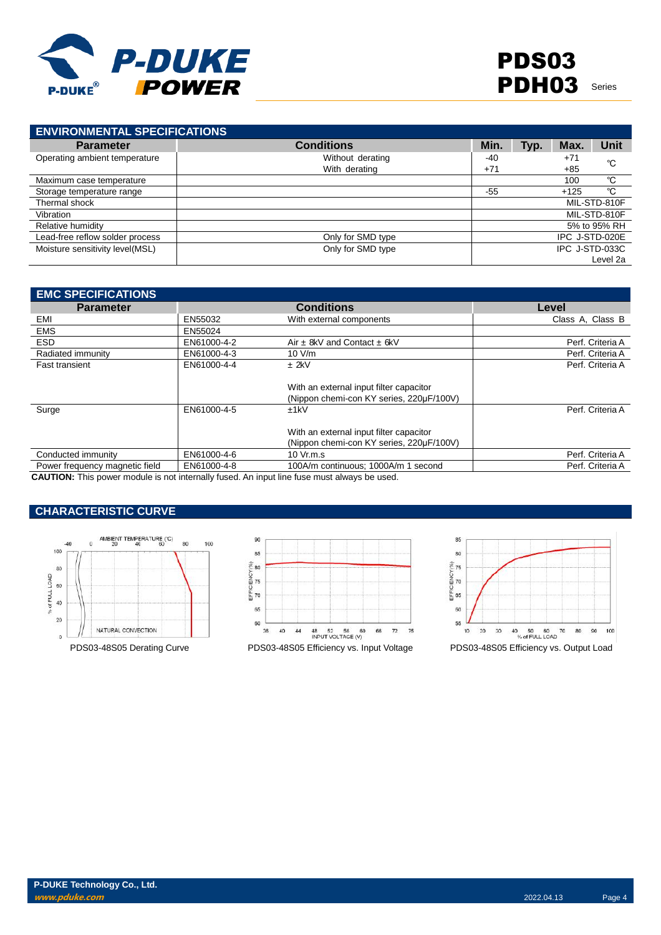

| <b>ENVIRONMENTAL SPECIFICATIONS</b> |                   |       |      |                |              |
|-------------------------------------|-------------------|-------|------|----------------|--------------|
| <b>Parameter</b>                    | <b>Conditions</b> | Min.  | Typ. | Max.           | <b>Unit</b>  |
| Operating ambient temperature       | Without derating  | -40   |      | $+71$          | °C           |
|                                     | With derating     | $+71$ |      | +85            |              |
| Maximum case temperature            |                   |       |      | 100            | °C           |
| Storage temperature range           |                   | $-55$ |      | $+125$         | °C           |
| Thermal shock                       |                   |       |      |                | MIL-STD-810F |
| Vibration                           |                   |       |      |                | MIL-STD-810F |
| Relative humidity                   |                   |       |      |                | 5% to 95% RH |
| Lead-free reflow solder process     | Only for SMD type |       |      | IPC J-STD-020E |              |
| Moisture sensitivity level(MSL)     | Only for SMD type |       |      | IPC J-STD-033C |              |
|                                     |                   |       |      |                | Level 2a     |

| <b>EMC SPECIFICATIONS</b>      |             |                                          |                  |
|--------------------------------|-------------|------------------------------------------|------------------|
| <b>Parameter</b>               |             | <b>Conditions</b>                        | Level            |
| EMI                            | EN55032     | With external components                 | Class A, Class B |
| <b>EMS</b>                     | EN55024     |                                          |                  |
| <b>ESD</b>                     | EN61000-4-2 | Air $\pm$ 8kV and Contact $\pm$ 6kV      | Perf. Criteria A |
| Radiated immunity              | EN61000-4-3 | 10 V/m                                   | Perf. Criteria A |
| <b>Fast transient</b>          | EN61000-4-4 | $±$ 2kV                                  | Perf. Criteria A |
|                                |             | With an external input filter capacitor  |                  |
|                                |             | (Nippon chemi-con KY series, 220µF/100V) |                  |
| Surge                          | EN61000-4-5 | ±1kV                                     | Perf. Criteria A |
|                                |             | With an external input filter capacitor  |                  |
|                                |             | (Nippon chemi-con KY series, 220µF/100V) |                  |
| Conducted immunity             | EN61000-4-6 | 10 Vr.m.s                                | Perf. Criteria A |
| Power frequency magnetic field | EN61000-4-8 | 100A/m continuous; 1000A/m 1 second      | Perf. Criteria A |

**CAUTION:** This power module is not internally fused. An input line fuse must always be used.

## **CHARACTERISTIC CURVE**





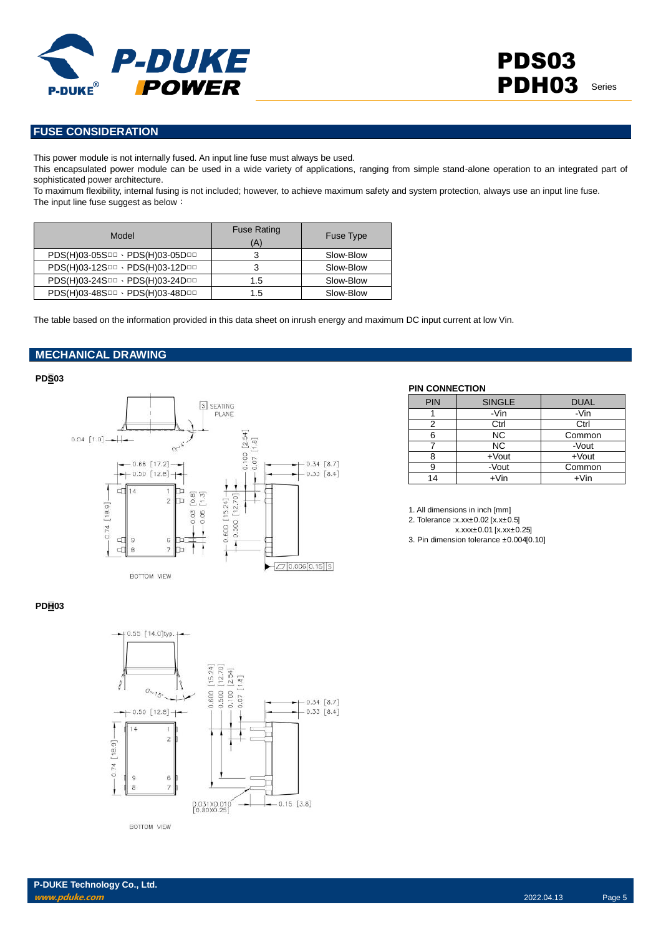

## **FUSE CONSIDERATION**

This power module is not internally fused. An input line fuse must always be used.

This encapsulated power module can be used in a wide variety of applications, ranging from simple stand-alone operation to an integrated part of sophisticated power architecture.

To maximum flexibility, internal fusing is not included; however, to achieve maximum safety and system protection, always use an input line fuse. The input line fuse suggest as below:

| Model                           | <b>Fuse Rating</b><br>(A) | <b>Fuse Type</b> |
|---------------------------------|---------------------------|------------------|
| PDS(H)03-05SOD · PDS(H)03-05DOD | 3                         | Slow-Blow        |
| PDS(H)03-12SOD · PDS(H)03-12DOD | 3                         | Slow-Blow        |
| PDS(H)03-24SDD · PDS(H)03-24DDD | 1.5                       | Slow-Blow        |
| PDS(H)03-48SOD · PDS(H)03-48DOD | 1.5                       | Slow-Blow        |

The table based on the information provided in this data sheet on inrush energy and maximum DC input current at low Vin.

## **MECHANICAL DRAWING**

#### **PDS03**



#### **PIN CONNECTION**

| <b>PIN</b> | <b>SINGLE</b> | <b>DUAL</b> |
|------------|---------------|-------------|
|            | -Vin          | -Vin        |
| 2          | Ctrl          | Ctrl        |
| 6          | <b>NC</b>     | Common      |
|            | <b>NC</b>     | -Vout       |
|            | +Vout         | $+$ Vout    |
| 9          | -Vout         | Common      |
| 14         | $+V$ in       | $+V$ in     |

1. All dimensions in inch [mm]

2. Tolerance :x.xx±0.02 [x.x±0.5]

x.xxx±0.01 [x.xx±0.25]

3. Pin dimension tolerance ±0.004[0.10]

#### **PDH03**



**BOTTOM VIEW**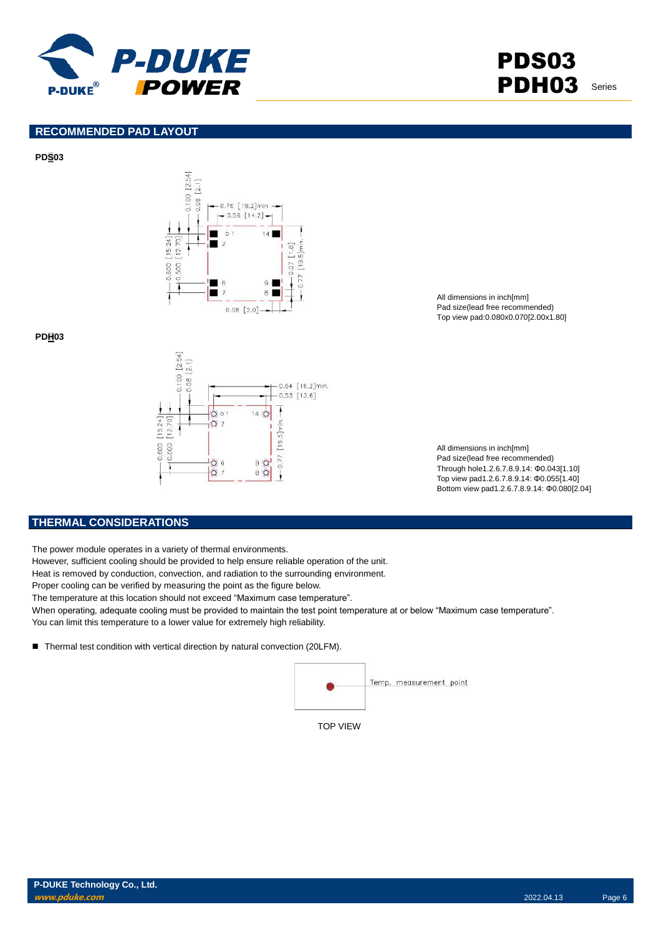

PDS03 PDH03 Series

## **RECOMMENDED PAD LAYOUT**

**PDS03**



**PDH03**



All dimensions in inch[mm] Pad size(lead free recommended) Top view pad:0.080x0.070[2.00x1.80]

All dimensions in inch[mm] Pad size(lead free recommended) Through hole1.2.6.7.8.9.14: Φ0.043[1.10] Top view pad1.2.6.7.8.9.14: Φ0.055[1.40] Bottom view pad1.2.6.7.8.9.14: Φ0.080[2.04]

## **THERMAL CONSIDERATIONS**

The power module operates in a variety of thermal environments.

However, sufficient cooling should be provided to help ensure reliable operation of the unit.

Heat is removed by conduction, convection, and radiation to the surrounding environment.

Proper cooling can be verified by measuring the point as the figure below.

The temperature at this location should not exceed "Maximum case temperature".

When operating, adequate cooling must be provided to maintain the test point temperature at or below "Maximum case temperature". You can limit this temperature to a lower value for extremely high reliability.

■ Thermal test condition with vertical direction by natural convection (20LFM).